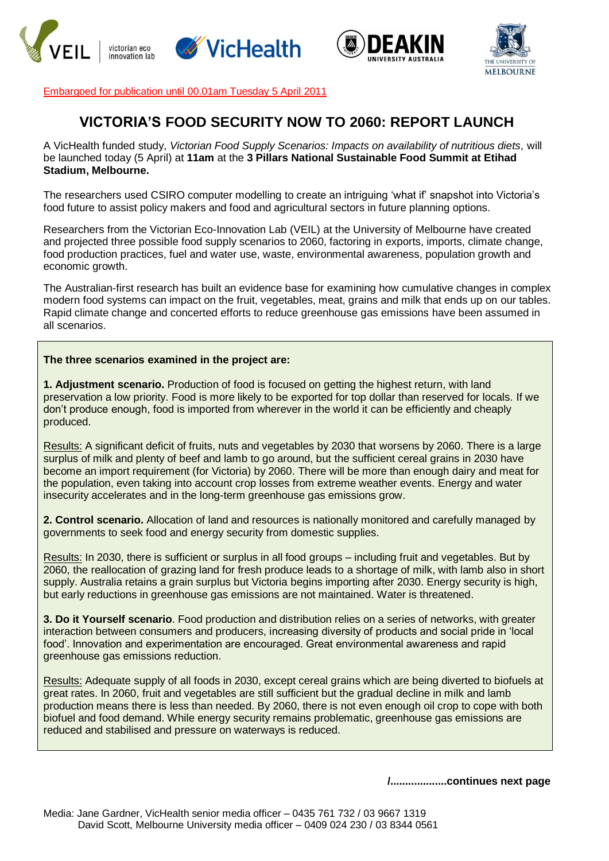





Embargoed for publication until 00.01am Tuesday 5 April 2011

## **VICTORIA'S FOOD SECURITY NOW TO 2060: REPORT LAUNCH**

A VicHealth funded study, *Victorian Food Supply Scenarios: Impacts on availability of nutritious diets,* will be launched today (5 April) at **11am** at the **3 Pillars National Sustainable Food Summit at Etihad Stadium, Melbourne.**

The researchers used CSIRO computer modelling to create an intriguing "what if" snapshot into Victoria"s food future to assist policy makers and food and agricultural sectors in future planning options.

Researchers from the Victorian Eco-Innovation Lab (VEIL) at the University of Melbourne have created and projected three possible food supply scenarios to 2060, factoring in exports, imports, climate change, food production practices, fuel and water use, waste, environmental awareness, population growth and economic growth.

The Australian-first research has built an evidence base for examining how cumulative changes in complex modern food systems can impact on the fruit, vegetables, meat, grains and milk that ends up on our tables. Rapid climate change and concerted efforts to reduce greenhouse gas emissions have been assumed in all scenarios.

## **The three scenarios examined in the project are:**

**1. Adjustment scenario.** Production of food is focused on getting the highest return, with land preservation a low priority. Food is more likely to be exported for top dollar than reserved for locals. If we don"t produce enough, food is imported from wherever in the world it can be efficiently and cheaply produced.

Results: A significant deficit of fruits, nuts and vegetables by 2030 that worsens by 2060. There is a large surplus of milk and plenty of beef and lamb to go around, but the sufficient cereal grains in 2030 have become an import requirement (for Victoria) by 2060. There will be more than enough dairy and meat for the population, even taking into account crop losses from extreme weather events. Energy and water insecurity accelerates and in the long-term greenhouse gas emissions grow.

**2. Control scenario.** Allocation of land and resources is nationally monitored and carefully managed by governments to seek food and energy security from domestic supplies.

Results: In 2030, there is sufficient or surplus in all food groups – including fruit and vegetables. But by 2060, the reallocation of grazing land for fresh produce leads to a shortage of milk, with lamb also in short supply. Australia retains a grain surplus but Victoria begins importing after 2030. Energy security is high, but early reductions in greenhouse gas emissions are not maintained. Water is threatened.

**3. Do it Yourself scenario**. Food production and distribution relies on a series of networks, with greater interaction between consumers and producers, increasing diversity of products and social pride in "local food". Innovation and experimentation are encouraged. Great environmental awareness and rapid greenhouse gas emissions reduction.

Results: Adequate supply of all foods in 2030, except cereal grains which are being diverted to biofuels at great rates. In 2060, fruit and vegetables are still sufficient but the gradual decline in milk and lamb production means there is less than needed. By 2060, there is not even enough oil crop to cope with both biofuel and food demand. While energy security remains problematic, greenhouse gas emissions are reduced and stabilised and pressure on waterways is reduced.

**/...................continues next page**